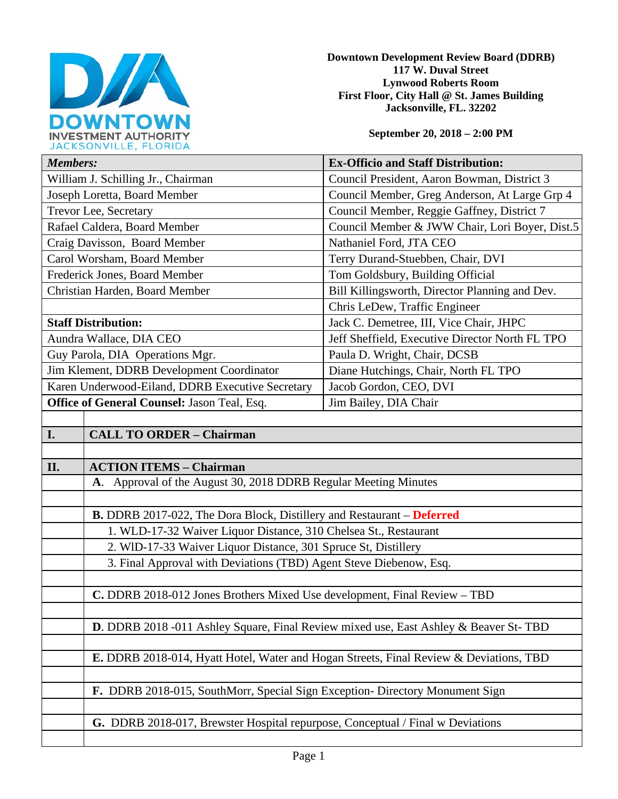

**Downtown Development Review Board (DDRB) 117 W. Duval Street Lynwood Roberts Room First Floor, City Hall @ St. James Building Jacksonville, FL. 32202** 

**September 20, 2018 – 2:00 PM**

| JACRJUNVILLE, FLUNIDA                            |                                                                                        |                                                 |  |
|--------------------------------------------------|----------------------------------------------------------------------------------------|-------------------------------------------------|--|
| <b>Members:</b>                                  |                                                                                        | <b>Ex-Officio and Staff Distribution:</b>       |  |
| William J. Schilling Jr., Chairman               |                                                                                        | Council President, Aaron Bowman, District 3     |  |
| Joseph Loretta, Board Member                     |                                                                                        | Council Member, Greg Anderson, At Large Grp 4   |  |
| Trevor Lee, Secretary                            |                                                                                        | Council Member, Reggie Gaffney, District 7      |  |
| Rafael Caldera, Board Member                     |                                                                                        | Council Member & JWW Chair, Lori Boyer, Dist.5  |  |
| Craig Davisson, Board Member                     |                                                                                        | Nathaniel Ford, JTA CEO                         |  |
| Carol Worsham, Board Member                      |                                                                                        | Terry Durand-Stuebben, Chair, DVI               |  |
| Frederick Jones, Board Member                    |                                                                                        | Tom Goldsbury, Building Official                |  |
| Christian Harden, Board Member                   |                                                                                        | Bill Killingsworth, Director Planning and Dev.  |  |
|                                                  |                                                                                        | Chris LeDew, Traffic Engineer                   |  |
| <b>Staff Distribution:</b>                       |                                                                                        | Jack C. Demetree, III, Vice Chair, JHPC         |  |
| Aundra Wallace, DIA CEO                          |                                                                                        | Jeff Sheffield, Executive Director North FL TPO |  |
| Guy Parola, DIA Operations Mgr.                  |                                                                                        | Paula D. Wright, Chair, DCSB                    |  |
| Jim Klement, DDRB Development Coordinator        |                                                                                        | Diane Hutchings, Chair, North FL TPO            |  |
| Karen Underwood-Eiland, DDRB Executive Secretary |                                                                                        | Jacob Gordon, CEO, DVI                          |  |
| Office of General Counsel: Jason Teal, Esq.      |                                                                                        | Jim Bailey, DIA Chair                           |  |
|                                                  |                                                                                        |                                                 |  |
| <b>I.</b>                                        | <b>CALL TO ORDER - Chairman</b>                                                        |                                                 |  |
|                                                  |                                                                                        |                                                 |  |
| II.                                              | <b>ACTION ITEMS - Chairman</b>                                                         |                                                 |  |
|                                                  | A. Approval of the August 30, 2018 DDRB Regular Meeting Minutes                        |                                                 |  |
|                                                  |                                                                                        |                                                 |  |
|                                                  | <b>B.</b> DDRB 2017-022, The Dora Block, Distillery and Restaurant – Deferred          |                                                 |  |
|                                                  | 1. WLD-17-32 Waiver Liquor Distance, 310 Chelsea St., Restaurant                       |                                                 |  |
|                                                  | 2. WID-17-33 Waiver Liquor Distance, 301 Spruce St, Distillery                         |                                                 |  |
|                                                  | 3. Final Approval with Deviations (TBD) Agent Steve Diebenow, Esq.                     |                                                 |  |
|                                                  |                                                                                        |                                                 |  |
|                                                  | C. DDRB 2018-012 Jones Brothers Mixed Use development, Final Review - TBD              |                                                 |  |
|                                                  |                                                                                        |                                                 |  |
|                                                  | D. DDRB 2018 -011 Ashley Square, Final Review mixed use, East Ashley & Beaver St-TBD   |                                                 |  |
|                                                  |                                                                                        |                                                 |  |
|                                                  | E. DDRB 2018-014, Hyatt Hotel, Water and Hogan Streets, Final Review & Deviations, TBD |                                                 |  |
|                                                  |                                                                                        |                                                 |  |
|                                                  | F. DDRB 2018-015, SouthMorr, Special Sign Exception- Directory Monument Sign           |                                                 |  |
|                                                  |                                                                                        |                                                 |  |
|                                                  | G. DDRB 2018-017, Brewster Hospital repurpose, Conceptual / Final w Deviations         |                                                 |  |
|                                                  |                                                                                        |                                                 |  |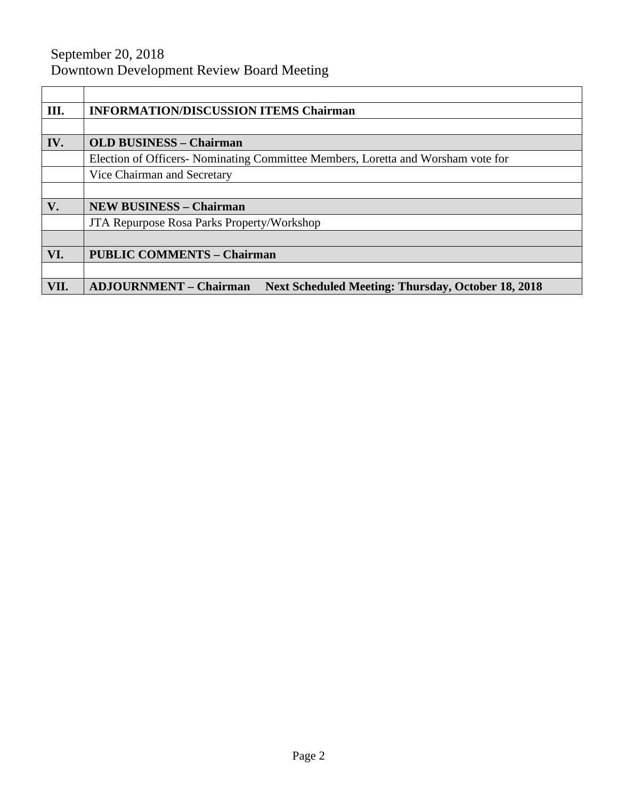# September 20, 2018 Downtown Development Review Board Meeting

| III. | <b>INFORMATION/DISCUSSION ITEMS Chairman</b>                                               |  |
|------|--------------------------------------------------------------------------------------------|--|
|      |                                                                                            |  |
| IV.  | <b>OLD BUSINESS - Chairman</b>                                                             |  |
|      | Election of Officers- Nominating Committee Members, Loretta and Worsham vote for           |  |
|      | Vice Chairman and Secretary                                                                |  |
|      |                                                                                            |  |
| V.   | <b>NEW BUSINESS - Chairman</b>                                                             |  |
|      | <b>JTA Repurpose Rosa Parks Property/Workshop</b>                                          |  |
|      |                                                                                            |  |
| VI.  | <b>PUBLIC COMMENTS - Chairman</b>                                                          |  |
|      |                                                                                            |  |
| VII. | <b>ADJOURNMENT - Chairman</b><br><b>Next Scheduled Meeting: Thursday, October 18, 2018</b> |  |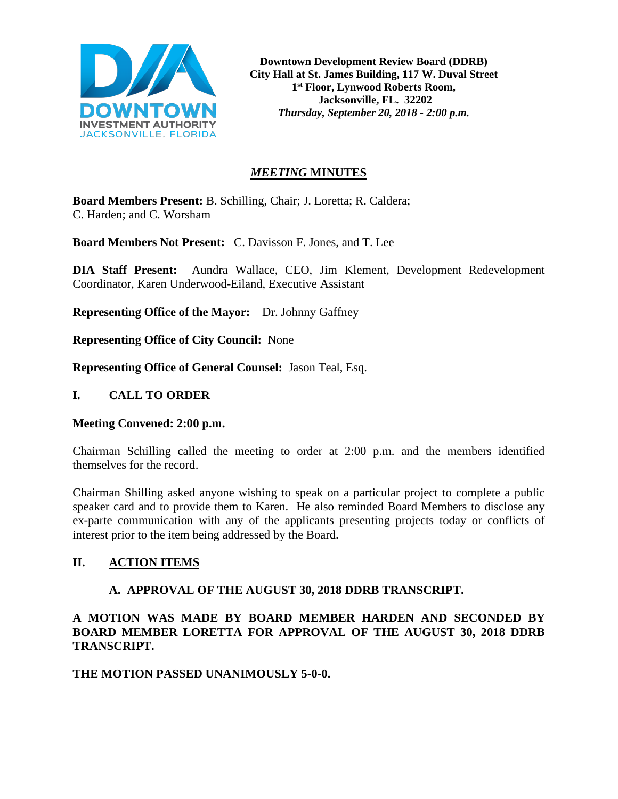

**Downtown Development Review Board (DDRB) City Hall at St. James Building, 117 W. Duval Street 1st Floor, Lynwood Roberts Room, Jacksonville, FL. 32202** *Thursday, September 20, 2018 - 2:00 p.m.*

## *MEETING* **MINUTES**

**Board Members Present:** B. Schilling, Chair; J. Loretta; R. Caldera; C. Harden; and C. Worsham

**Board Members Not Present:** C. Davisson F. Jones, and T. Lee

**DIA Staff Present:** Aundra Wallace, CEO, Jim Klement, Development Redevelopment Coordinator, Karen Underwood-Eiland, Executive Assistant

**Representing Office of the Mayor:** Dr. Johnny Gaffney

**Representing Office of City Council:** None

**Representing Office of General Counsel:** Jason Teal, Esq.

#### **I. CALL TO ORDER**

#### **Meeting Convened: 2:00 p.m.**

Chairman Schilling called the meeting to order at 2:00 p.m. and the members identified themselves for the record.

Chairman Shilling asked anyone wishing to speak on a particular project to complete a public speaker card and to provide them to Karen. He also reminded Board Members to disclose any ex-parte communication with any of the applicants presenting projects today or conflicts of interest prior to the item being addressed by the Board.

## **II. ACTION ITEMS**

## **A. APPROVAL OF THE AUGUST 30, 2018 DDRB TRANSCRIPT.**

**A MOTION WAS MADE BY BOARD MEMBER HARDEN AND SECONDED BY BOARD MEMBER LORETTA FOR APPROVAL OF THE AUGUST 30, 2018 DDRB TRANSCRIPT.** 

## **THE MOTION PASSED UNANIMOUSLY 5-0-0.**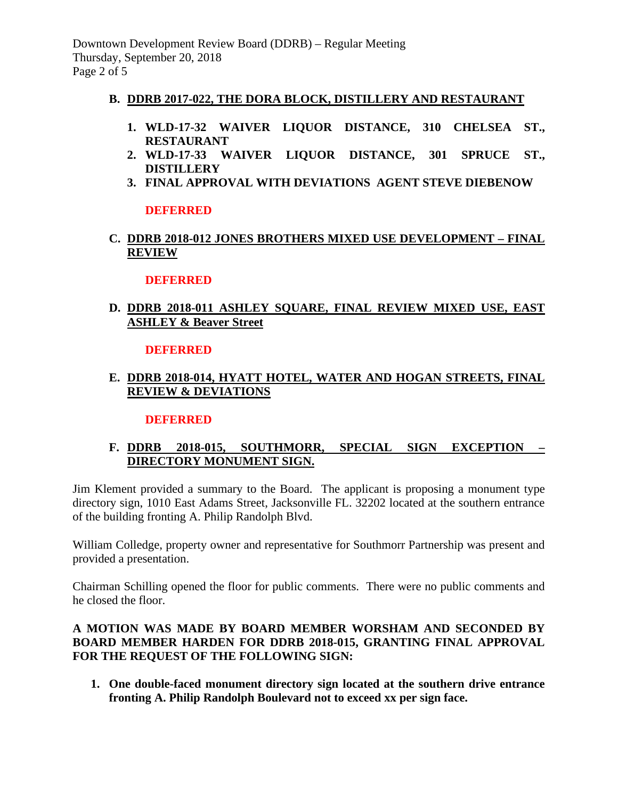Downtown Development Review Board (DDRB) – Regular Meeting Thursday, September 20, 2018 Page 2 of 5

#### **B. DDRB 2017-022, THE DORA BLOCK, DISTILLERY AND RESTAURANT**

- **1. WLD-17-32 WAIVER LIQUOR DISTANCE, 310 CHELSEA ST., RESTAURANT**
- **2. WLD-17-33 WAIVER LIQUOR DISTANCE, 301 SPRUCE ST., DISTILLERY**
- **3. FINAL APPROVAL WITH DEVIATIONS AGENT STEVE DIEBENOW**

#### **DEFERRED**

**C. DDRB 2018-012 JONES BROTHERS MIXED USE DEVELOPMENT – FINAL REVIEW**

#### **DEFERRED**

# **D. DDRB 2018-011 ASHLEY SQUARE, FINAL REVIEW MIXED USE, EAST ASHLEY & Beaver Street**

#### **DEFERRED**

## **E. DDRB 2018-014, HYATT HOTEL, WATER AND HOGAN STREETS, FINAL REVIEW & DEVIATIONS**

#### **DEFERRED**

## **F. DDRB 2018-015, SOUTHMORR, SPECIAL SIGN EXCEPTION – DIRECTORY MONUMENT SIGN.**

Jim Klement provided a summary to the Board. The applicant is proposing a monument type directory sign, 1010 East Adams Street, Jacksonville FL. 32202 located at the southern entrance of the building fronting A. Philip Randolph Blvd.

William Colledge, property owner and representative for Southmorr Partnership was present and provided a presentation.

Chairman Schilling opened the floor for public comments. There were no public comments and he closed the floor.

#### **A MOTION WAS MADE BY BOARD MEMBER WORSHAM AND SECONDED BY BOARD MEMBER HARDEN FOR DDRB 2018-015, GRANTING FINAL APPROVAL FOR THE REQUEST OF THE FOLLOWING SIGN:**

**1. One double-faced monument directory sign located at the southern drive entrance fronting A. Philip Randolph Boulevard not to exceed xx per sign face.**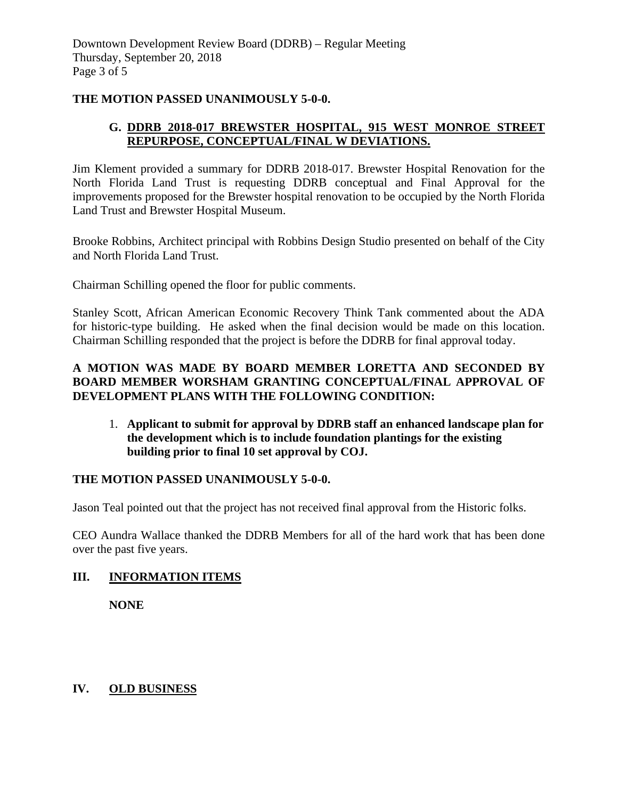#### **THE MOTION PASSED UNANIMOUSLY 5-0-0.**

## **G. DDRB 2018-017 BREWSTER HOSPITAL, 915 WEST MONROE STREET REPURPOSE, CONCEPTUAL/FINAL W DEVIATIONS.**

Jim Klement provided a summary for DDRB 2018-017. Brewster Hospital Renovation for the North Florida Land Trust is requesting DDRB conceptual and Final Approval for the improvements proposed for the Brewster hospital renovation to be occupied by the North Florida Land Trust and Brewster Hospital Museum.

Brooke Robbins, Architect principal with Robbins Design Studio presented on behalf of the City and North Florida Land Trust.

Chairman Schilling opened the floor for public comments.

Stanley Scott, African American Economic Recovery Think Tank commented about the ADA for historic-type building. He asked when the final decision would be made on this location. Chairman Schilling responded that the project is before the DDRB for final approval today.

#### **A MOTION WAS MADE BY BOARD MEMBER LORETTA AND SECONDED BY BOARD MEMBER WORSHAM GRANTING CONCEPTUAL/FINAL APPROVAL OF DEVELOPMENT PLANS WITH THE FOLLOWING CONDITION:**

1. **Applicant to submit for approval by DDRB staff an enhanced landscape plan for the development which is to include foundation plantings for the existing building prior to final 10 set approval by COJ.** 

## **THE MOTION PASSED UNANIMOUSLY 5-0-0.**

Jason Teal pointed out that the project has not received final approval from the Historic folks.

CEO Aundra Wallace thanked the DDRB Members for all of the hard work that has been done over the past five years.

#### **III. INFORMATION ITEMS**

 **NONE**

# **IV. OLD BUSINESS**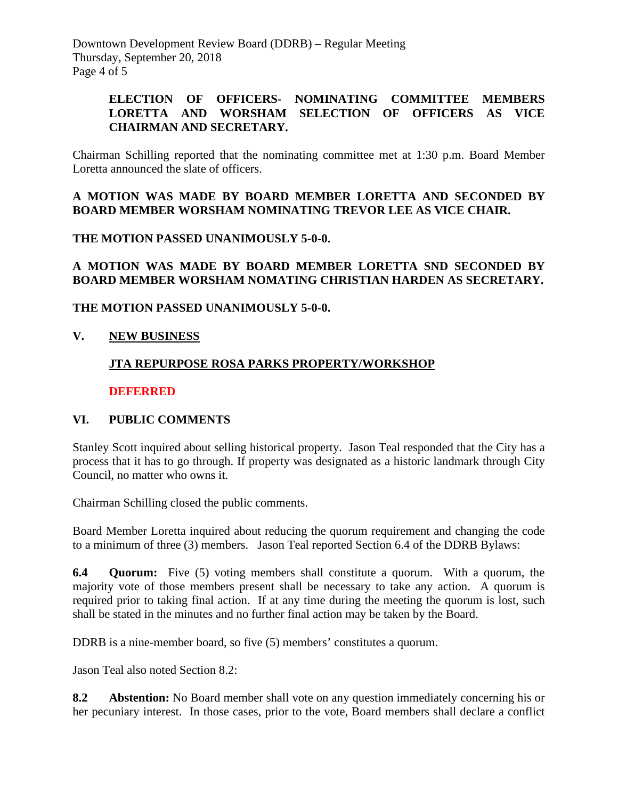Downtown Development Review Board (DDRB) – Regular Meeting Thursday, September 20, 2018 Page 4 of 5

#### **ELECTION OF OFFICERS- NOMINATING COMMITTEE MEMBERS LORETTA AND WORSHAM SELECTION OF OFFICERS AS VICE CHAIRMAN AND SECRETARY.**

Chairman Schilling reported that the nominating committee met at 1:30 p.m. Board Member Loretta announced the slate of officers.

## **A MOTION WAS MADE BY BOARD MEMBER LORETTA AND SECONDED BY BOARD MEMBER WORSHAM NOMINATING TREVOR LEE AS VICE CHAIR.**

#### **THE MOTION PASSED UNANIMOUSLY 5-0-0.**

## **A MOTION WAS MADE BY BOARD MEMBER LORETTA SND SECONDED BY BOARD MEMBER WORSHAM NOMATING CHRISTIAN HARDEN AS SECRETARY.**

## **THE MOTION PASSED UNANIMOUSLY 5-0-0.**

# **V. NEW BUSINESS**

# **JTA REPURPOSE ROSA PARKS PROPERTY/WORKSHOP**

## **DEFERRED**

## **VI. PUBLIC COMMENTS**

Stanley Scott inquired about selling historical property. Jason Teal responded that the City has a process that it has to go through. If property was designated as a historic landmark through City Council, no matter who owns it.

Chairman Schilling closed the public comments.

Board Member Loretta inquired about reducing the quorum requirement and changing the code to a minimum of three (3) members. Jason Teal reported Section 6.4 of the DDRB Bylaws:

**6.4 Quorum:** Five (5) voting members shall constitute a quorum. With a quorum, the majority vote of those members present shall be necessary to take any action. A quorum is required prior to taking final action. If at any time during the meeting the quorum is lost, such shall be stated in the minutes and no further final action may be taken by the Board.

DDRB is a nine-member board, so five (5) members' constitutes a quorum.

Jason Teal also noted Section 8.2:

**8.2 Abstention:** No Board member shall vote on any question immediately concerning his or her pecuniary interest. In those cases, prior to the vote, Board members shall declare a conflict